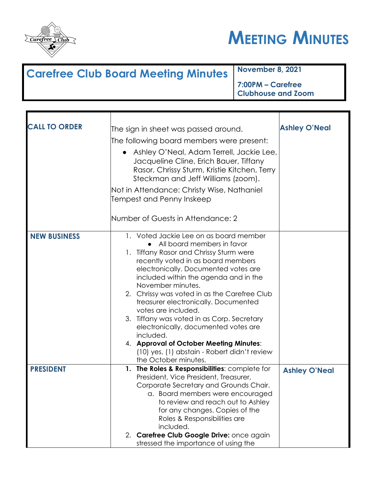



## **Carefree Club Board Meeting Minutes November 8, 2021 7:00PM – Carefree**

**Clubhouse and Zoom**

| <b>CALL TO ORDER</b> | The sign in sheet was passed around.                                                                                                                                                                                                                                                                                                                                                                                                                                                                                                                                                             | <b>Ashley O'Neal</b> |
|----------------------|--------------------------------------------------------------------------------------------------------------------------------------------------------------------------------------------------------------------------------------------------------------------------------------------------------------------------------------------------------------------------------------------------------------------------------------------------------------------------------------------------------------------------------------------------------------------------------------------------|----------------------|
|                      | The following board members were present:                                                                                                                                                                                                                                                                                                                                                                                                                                                                                                                                                        |                      |
|                      | Ashley O'Neal, Adam Terrell, Jackie Lee,<br>Jacqueline Cline, Erich Bauer, Tiffany<br>Rasor, Chrissy Sturm, Kristie Kitchen, Terry<br>Steckman and Jeff Williams (zoom).                                                                                                                                                                                                                                                                                                                                                                                                                         |                      |
|                      | Not in Attendance: Christy Wise, Nathaniel<br>Tempest and Penny Inskeep                                                                                                                                                                                                                                                                                                                                                                                                                                                                                                                          |                      |
|                      | Number of Guests in Attendance: 2                                                                                                                                                                                                                                                                                                                                                                                                                                                                                                                                                                |                      |
| <b>NEW BUSINESS</b>  | 1. Voted Jackie Lee on as board member<br>All board members in favor<br>1. Tiffany Rasor and Chrissy Sturm were<br>recently voted in as board members<br>electronically. Documented votes are<br>included within the agenda and in the<br>November minutes.<br>2. Chrissy was voted in as the Carefree Club<br>treasurer electronically. Documented<br>votes are included.<br>3. Tiffany was voted in as Corp. Secretary<br>electronically, documented votes are<br>included.<br>4. Approval of October Meeting Minutes:<br>(10) yes, (1) abstain - Robert didn't review<br>the October minutes. |                      |
| <b>PRESIDENT</b>     | 1. The Roles & Responsibilities: complete for<br>President, Vice President, Treasurer,<br>Corporate Secretary and Grounds Chair.<br>a. Board members were encouraged<br>to review and reach out to Ashley<br>for any changes. Copies of the<br>Roles & Responsibilities are<br>included.<br>2. Carefree Club Google Drive: once again<br>stressed the importance of using the                                                                                                                                                                                                                    | <b>Ashley O'Neal</b> |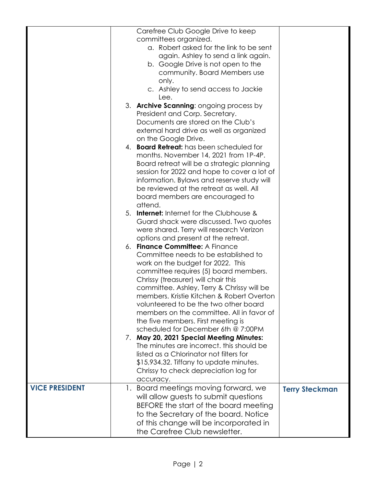|                       | Carefree Club Google Drive to keep              |                       |
|-----------------------|-------------------------------------------------|-----------------------|
|                       | committees organized.                           |                       |
|                       | a. Robert asked for the link to be sent         |                       |
|                       | again. Ashley to send a link again.             |                       |
|                       | b. Google Drive is not open to the              |                       |
|                       | community. Board Members use                    |                       |
|                       | only.                                           |                       |
|                       | c. Ashley to send access to Jackie              |                       |
|                       | Lee.                                            |                       |
|                       | 3. Archive Scanning: ongoing process by         |                       |
|                       | President and Corp. Secretary.                  |                       |
|                       | Documents are stored on the Club's              |                       |
|                       | external hard drive as well as organized        |                       |
|                       | on the Google Drive.                            |                       |
|                       | 4. <b>Board Retreat:</b> has been scheduled for |                       |
|                       | months. November 14, 2021 from 1P-4P.           |                       |
|                       | Board retreat will be a strategic planning      |                       |
|                       | session for 2022 and hope to cover a lot of     |                       |
|                       | information. Bylaws and reserve study will      |                       |
|                       | be reviewed at the retreat as well. All         |                       |
|                       | board members are encouraged to                 |                       |
|                       | attend.                                         |                       |
|                       | 5. Internet: Internet for the Clubhouse &       |                       |
|                       | Guard shack were discussed. Two quotes          |                       |
|                       | were shared. Terry will research Verizon        |                       |
|                       | options and present at the retreat.             |                       |
|                       | 6. Finance Committee: A Finance                 |                       |
|                       | Committee needs to be established to            |                       |
|                       | work on the budget for 2022. This               |                       |
|                       | committee requires (5) board members.           |                       |
|                       | Chrissy (treasurer) will chair this             |                       |
|                       | committee. Ashley, Terry & Chrissy will be      |                       |
|                       | members. Kristie Kitchen & Robert Overton       |                       |
|                       | volunteered to be the two other board           |                       |
|                       | members on the committee. All in favor of       |                       |
|                       | the five members. First meeting is              |                       |
|                       | scheduled for December 6th @ 7:00PM             |                       |
|                       | 7. May 20, 2021 Special Meeting Minutes:        |                       |
|                       | The minutes are incorrect, this should be       |                       |
|                       | listed as a Chlorinator not filters for         |                       |
|                       | \$15,934.32. Tiffany to update minutes.         |                       |
|                       | Chrissy to check depreciation log for           |                       |
|                       | accuracy.                                       |                       |
| <b>VICE PRESIDENT</b> | 1. Board meetings moving forward, we            | <b>Terry Steckman</b> |
|                       | will allow guests to submit questions           |                       |
|                       | BEFORE the start of the board meeting           |                       |
|                       | to the Secretary of the board. Notice           |                       |
|                       | of this change will be incorporated in          |                       |
|                       | the Carefree Club newsletter.                   |                       |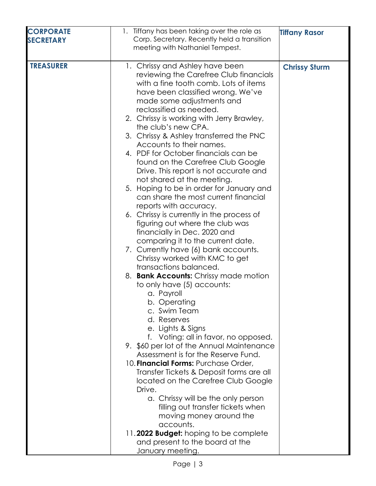| <b>CORPORATE</b> | 1. Tiffany has been taking over the role as                                                                                                                                                                                                                                                                                                                                                                                                                                                                                                                                                                                                                                                                                                                                                                                                                                                                                                                                                                                                                                                                                                                                                                                                                                                                                                                                                                                                                                                                     | <b>Tiffany Rasor</b> |
|------------------|-----------------------------------------------------------------------------------------------------------------------------------------------------------------------------------------------------------------------------------------------------------------------------------------------------------------------------------------------------------------------------------------------------------------------------------------------------------------------------------------------------------------------------------------------------------------------------------------------------------------------------------------------------------------------------------------------------------------------------------------------------------------------------------------------------------------------------------------------------------------------------------------------------------------------------------------------------------------------------------------------------------------------------------------------------------------------------------------------------------------------------------------------------------------------------------------------------------------------------------------------------------------------------------------------------------------------------------------------------------------------------------------------------------------------------------------------------------------------------------------------------------------|----------------------|
| <b>SECRETARY</b> | Corp. Secretary. Recently held a transition                                                                                                                                                                                                                                                                                                                                                                                                                                                                                                                                                                                                                                                                                                                                                                                                                                                                                                                                                                                                                                                                                                                                                                                                                                                                                                                                                                                                                                                                     |                      |
|                  | meeting with Nathaniel Tempest.                                                                                                                                                                                                                                                                                                                                                                                                                                                                                                                                                                                                                                                                                                                                                                                                                                                                                                                                                                                                                                                                                                                                                                                                                                                                                                                                                                                                                                                                                 |                      |
|                  |                                                                                                                                                                                                                                                                                                                                                                                                                                                                                                                                                                                                                                                                                                                                                                                                                                                                                                                                                                                                                                                                                                                                                                                                                                                                                                                                                                                                                                                                                                                 |                      |
| <b>TREASURER</b> | 1. Chrissy and Ashley have been<br>reviewing the Carefree Club financials<br>with a fine tooth comb. Lots of items<br>have been classified wrong. We've<br>made some adjustments and<br>reclassified as needed.<br>2. Chrissy is working with Jerry Brawley,<br>the club's new CPA.<br>3. Chrissy & Ashley transferred the PNC<br>Accounts to their names.<br>4. PDF for October financials can be<br>found on the Carefree Club Google<br>Drive. This report is not accurate and<br>not shared at the meeting.<br>5. Hoping to be in order for January and<br>can share the most current financial<br>reports with accuracy.<br>6. Chrissy is currently in the process of<br>figuring out where the club was<br>financially in Dec. 2020 and<br>comparing it to the current date.<br>7. Currently have (6) bank accounts.<br>Chrissy worked with KMC to get<br>transactions balanced.<br>8. Bank Accounts: Chrissy made motion<br>to only have (5) accounts:<br>a. Payroll<br>b. Operating<br>c. Swim Team<br>d. Reserves<br>e. Lights & Signs<br>f. Voting: all in favor, no opposed.<br>9. \$60 per lot of the Annual Maintenance<br>Assessment is for the Reserve Fund.<br>10. Financial Forms: Purchase Order,<br>Transfer Tickets & Deposit forms are all<br>located on the Carefree Club Google<br>Drive.<br>a. Chrissy will be the only person<br>filling out transfer tickets when<br>moving money around the<br>accounts.<br>11.2022 Budget: hoping to be complete<br>and present to the board at the | <b>Chrissy Sturm</b> |
|                  | January meeting.                                                                                                                                                                                                                                                                                                                                                                                                                                                                                                                                                                                                                                                                                                                                                                                                                                                                                                                                                                                                                                                                                                                                                                                                                                                                                                                                                                                                                                                                                                |                      |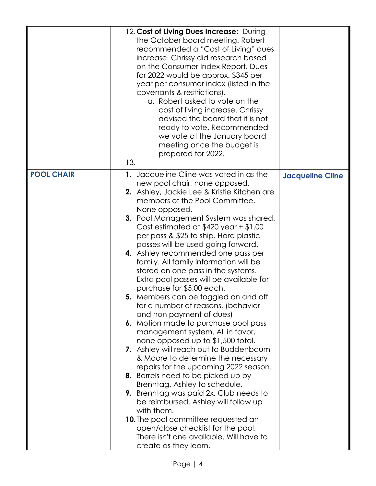|                   | 12. Cost of Living Dues Increase: During<br>the October board meeting. Robert<br>recommended a "Cost of Living" dues<br>increase. Chrissy did research based<br>on the Consumer Index Report. Dues<br>for 2022 would be approx. \$345 per<br>year per consumer index (listed in the<br>covenants & restrictions).<br>a. Robert asked to vote on the<br>cost of living increase. Chrissy<br>advised the board that it is not<br>ready to vote. Recommended<br>we vote at the January board<br>meeting once the budget is<br>prepared for 2022.<br>13.                                                                                                                                                                                                                                                                                                                                                                                                                                                                                                                                                                                                                                                                                         |                         |
|-------------------|----------------------------------------------------------------------------------------------------------------------------------------------------------------------------------------------------------------------------------------------------------------------------------------------------------------------------------------------------------------------------------------------------------------------------------------------------------------------------------------------------------------------------------------------------------------------------------------------------------------------------------------------------------------------------------------------------------------------------------------------------------------------------------------------------------------------------------------------------------------------------------------------------------------------------------------------------------------------------------------------------------------------------------------------------------------------------------------------------------------------------------------------------------------------------------------------------------------------------------------------|-------------------------|
| <b>POOL CHAIR</b> | 1. Jacqueline Cline was voted in as the<br>new pool chair, none opposed.<br><b>2.</b> Ashley, Jackie Lee & Kristie Kitchen are<br>members of the Pool Committee.<br>None opposed.<br><b>3.</b> Pool Management System was shared.<br>Cost estimated at $$420$ year + $$1.00$<br>per pass & \$25 to ship. Hard plastic<br>passes will be used going forward.<br>4. Ashley recommended one pass per<br>family. All family information will be<br>stored on one pass in the systems.<br>Extra pool passes will be available for<br>purchase for \$5.00 each.<br>5. Members can be toggled on and off<br>for a number of reasons. (behavior<br>and non payment of dues)<br>6. Motion made to purchase pool pass<br>management system. All in favor,<br>none opposed up to \$1,500 total.<br>7. Ashley will reach out to Buddenbaum<br>& Moore to determine the necessary<br>repairs for the upcoming 2022 season.<br>8. Barrels need to be picked up by<br>Brenntag. Ashley to schedule.<br>9. Brenntag was paid 2x. Club needs to<br>be reimbursed. Ashley will follow up<br>with them.<br><b>10.</b> The pool committee requested an<br>open/close checklist for the pool.<br>There isn't one available. Will have to<br>create as they learn. | <b>Jacqueline Cline</b> |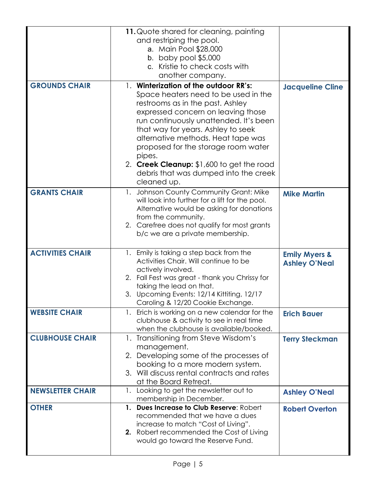|                         | 11. Quote shared for cleaning, painting<br>and restriping the pool.<br>a. Main Pool \$28,000<br>b. baby pool $$5,000$<br>c. Kristie to check costs with<br>another company.                                                                                                                                                                                                                                                         |                                                  |
|-------------------------|-------------------------------------------------------------------------------------------------------------------------------------------------------------------------------------------------------------------------------------------------------------------------------------------------------------------------------------------------------------------------------------------------------------------------------------|--------------------------------------------------|
| <b>GROUNDS CHAIR</b>    | 1. Winterization of the outdoor RR's:<br>Space heaters need to be used in the<br>restrooms as in the past. Ashley<br>expressed concern on leaving those<br>run continuously unattended. It's been<br>that way for years. Ashley to seek<br>alternative methods. Heat tape was<br>proposed for the storage room water<br>pipes.<br>2. Creek Cleanup: \$1,600 to get the road<br>debris that was dumped into the creek<br>cleaned up. | <b>Jacqueline Cline</b>                          |
| <b>GRANTS CHAIR</b>     | 1. Johnson County Community Grant: Mike<br>will look into further for a lift for the pool.<br>Alternative would be asking for donations<br>from the community.<br>2. Carefree does not qualify for most grants<br>b/c we are a private membership.                                                                                                                                                                                  | <b>Mike Martin</b>                               |
| <b>ACTIVITIES CHAIR</b> | 1. Emily is taking a step back from the<br>Activities Chair. Will continue to be<br>actively involved.<br>2. Fall Fest was great - thank you Chrissy for<br>taking the lead on that.<br>3. Upcoming Events: 12/14 Kittiting, 12/17<br>Caroling & 12/20 Cookie Exchange.                                                                                                                                                             | <b>Emily Myers &amp;</b><br><b>Ashley O'Neal</b> |
| <b>WEBSITE CHAIR</b>    | 1. Erich is working on a new calendar for the<br>clubhouse & activity to see in real time<br>when the clubhouse is available/booked.                                                                                                                                                                                                                                                                                                | <b>Erich Bauer</b>                               |
| <b>CLUBHOUSE CHAIR</b>  | 1. Transitioning from Steve Wisdom's<br>management.<br>2. Developing some of the processes of<br>booking to a more modern system.<br>3. Will discuss rental contracts and rates<br>at the Board Retreat.                                                                                                                                                                                                                            | <b>Terry Steckman</b>                            |
| <b>NEWSLETTER CHAIR</b> | 1. Looking to get the newsletter out to<br>membership in December.                                                                                                                                                                                                                                                                                                                                                                  | <b>Ashley O'Neal</b>                             |
| <b>OTHER</b>            | 1. Dues Increase to Club Reserve: Robert<br>recommended that we have a dues<br>increase to match "Cost of Living".<br>2. Robert recommended the Cost of Living<br>would go toward the Reserve Fund.                                                                                                                                                                                                                                 | <b>Robert Overton</b>                            |